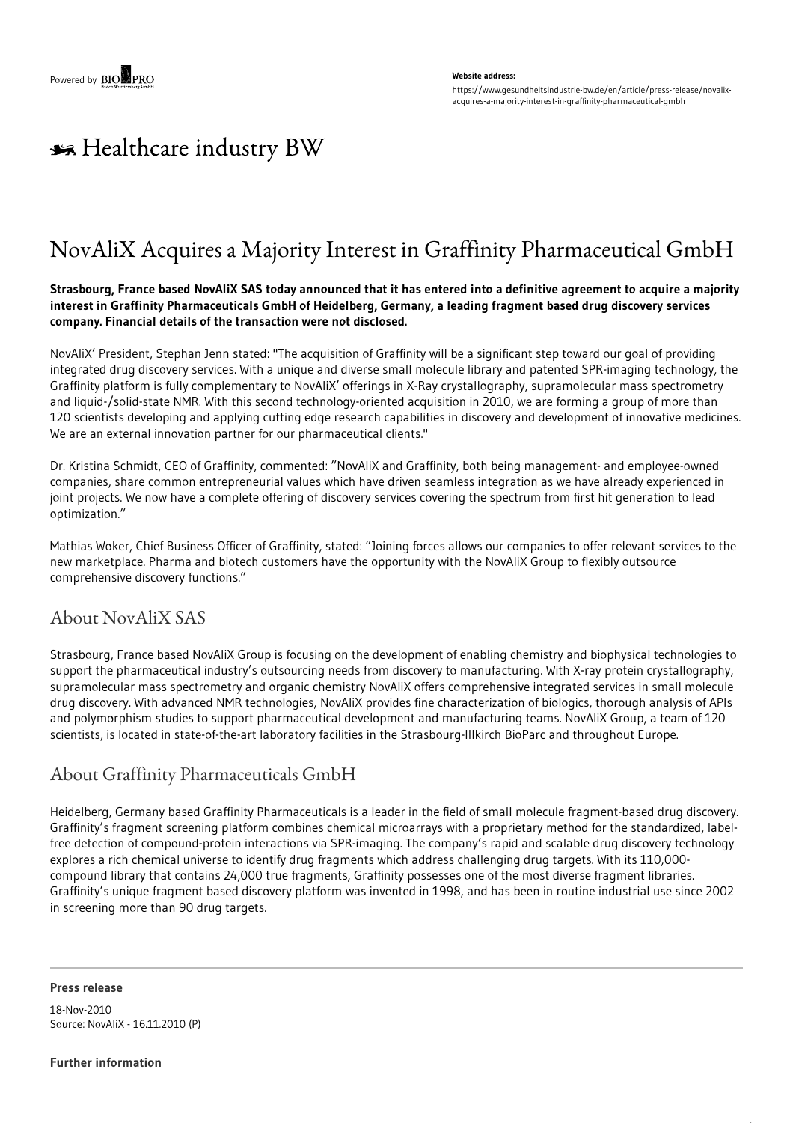#### **Website address:**

https://www.gesundheitsindustrie-bw.de/en/article/press-release/novalixacquires-a-majority-interest-in-graffinity-pharmaceutical-gmbh

# \*\* Healthcare industry BW

## NovAliX Acquires a Majority Interest in Graffinity Pharmaceutical GmbH

### Strasbourg, France based NovAliX SAS today announced that it has entered into a definitive agreement to acquire a majority **interest in Graffinity Pharmaceuticals GmbH of Heidelberg, Germany, a leading fragment based drug discovery services company. Financial details of the transaction were not disclosed.**

NovAliX' President, Stephan Jenn stated: "The acquisition of Graffinity will be a significant step toward our goal of providing integrated drug discovery services. With a unique and diverse small molecule library and patented SPR-imaging technology, the Graffinity platform is fully complementary to NovAliX' offerings in X-Ray crystallography, supramolecular mass spectrometry and liquid-/solid-state NMR. With this second technology-oriented acquisition in 2010, we are forming a group of more than 120 scientists developing and applying cutting edge research capabilities in discovery and development of innovative medicines. We are an external innovation partner for our pharmaceutical clients."

Dr. Kristina Schmidt, CEO of Graffinity, commented: "NovAliX and Graffinity, both being management- and employee-owned companies, share common entrepreneurial values which have driven seamless integration as we have already experienced in joint projects. We now have a complete offering of discovery services covering the spectrum from first hit generation to lead optimization."

Mathias Woker, Chief Business Officer of Graffinity, stated: "Joining forces allows our companies to offer relevant services to the new marketplace. Pharma and biotech customers have the opportunity with the NovAliX Group to flexibly outsource comprehensive discovery functions."

## About NovAliX SAS

Strasbourg, France based NovAliX Group is focusing on the development of enabling chemistry and biophysical technologies to support the pharmaceutical industry's outsourcing needs from discovery to manufacturing. With X-ray protein crystallography, supramolecular mass spectrometry and organic chemistry NovAliX offers comprehensive integrated services in small molecule drug discovery. With advanced NMR technologies, NovAliX provides fine characterization of biologics, thorough analysis of APIs and polymorphism studies to support pharmaceutical development and manufacturing teams. NovAliX Group, a team of 120 scientists, is located in state-of-the-art laboratory facilities in the Strasbourg-Illkirch BioParc and throughout Europe.

## About Graffinity Pharmaceuticals GmbH

Heidelberg, Germany based Graffinity Pharmaceuticals is a leader in the field of small molecule fragment-based drug discovery. Graffinity's fragment screening platform combines chemical microarrays with a proprietary method for the standardized, labelfree detection of compound-protein interactions via SPR-imaging. The company's rapid and scalable drug discovery technology explores a rich chemical universe to identify drug fragments which address challenging drug targets. With its 110,000 compound library that contains 24,000 true fragments, Graffinity possesses one of the most diverse fragment libraries. Graffinity's unique fragment based discovery platform was invented in 1998, and has been in routine industrial use since 2002 in screening more than 90 drug targets.

### **Press release**

18-Nov-2010 Source: NovAliX - 16.11.2010 (P)

#### **Further information**